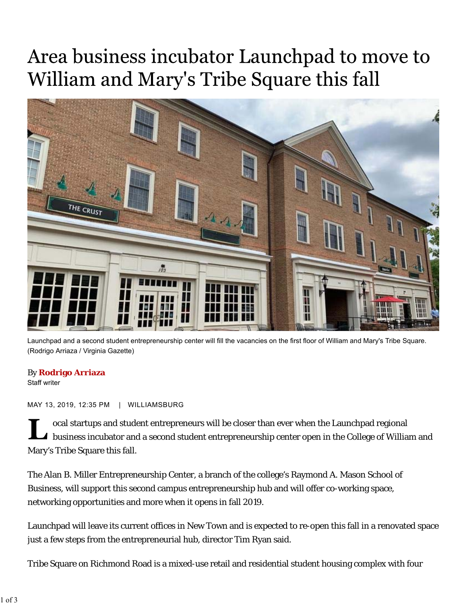## Area business incubator Launchpad to move to William and Mary's Tribe Square this fall



Launchpad and a second student entrepreneurship center will fill the vacancies on the first floor of William and Mary's Tribe Square. (Rodrigo Arriaza / Virginia Gazette)

## By **Rodrigo Arriaza**

Staff writer

MAY 13, 2019, 12:35 PM | WILLIAMSBURG

ocal startups and student entrepreneurs will be closer than ever when the Launchpad regional I business incubator and a second student entrepreneurship center open in the College of William and Mary's Tribe Square this fall.

The Alan B. Miller Entrepreneurship Center, a branch of the college's Raymond A. Mason School of Business, will support this second campus entrepreneurship hub and will offer co-working space, networking opportunities and more when it opens in fall 2019.

Launchpad will leave its current offices in New Town and is expected to re-open this fall in a renovated space just a few steps from the entrepreneurial hub, director Tim Ryan said.

Tribe Square on Richmond Road is a mixed-use retail and residential student housing complex with four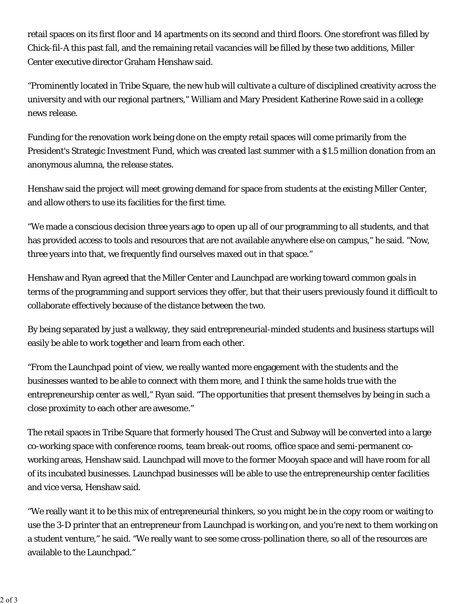retail spaces on its first floor and 14 apartments on its second and third floors. One storefront was filled by Chick-fil-A this past fall, and the remaining retail vacancies will be filled by these two additions, Miller Center executive director Graham Henshaw said.

"Prominently located in Tribe Square, the new hub will cultivate a culture of disciplined creativity across the university and with our regional partners," William and Mary President Katherine Rowe said in a college news release.

Funding for the renovation work being done on the empty retail spaces will come primarily from the President's Strategic Investment Fund, which was created last summer with a \$1.5 million donation from an anonymous alumna, the release states.

Henshaw said the project will meet growing demand for space from students at the existing Miller Center, and allow others to use its facilities for the first time.

"We made a conscious decision three years ago to open up all of our programming to all students, and that has provided access to tools and resources that are not available anywhere else on campus," he said. "Now, three years into that, we frequently find ourselves maxed out in that space."

Henshaw and Ryan agreed that the Miller Center and Launchpad are working toward common goals in terms of the programming and support services they offer, but that their users previously found it difficult to collaborate effectively because of the distance between the two.

By being separated by just a walkway, they said entrepreneurial-minded students and business startups will easily be able to work together and learn from each other.

 "From the Launchpad point of view, we really wanted more engagement with the students and the entrepreneurship center as well," Ryan said. "The opportunities that present themselves by being in such a businesses wanted to be able to connect with them more, and I think the same holds true with the close proximity to each other are awesome."

The retail spaces in Tribe Square that formerly housed The Crust and Subway will be converted into a large co-working space with conference rooms, team break-out rooms, office space and semi-permanent coworking areas, Henshaw said. Launchpad will move to the former Mooyah space and will have room for all of its incubated businesses. Launchpad businesses will be able to use the entrepreneurship center facilities and vice versa, Henshaw said.

"We really want it to be this mix of entrepreneurial thinkers, so you might be in the copy room or waiting to use the 3-D printer that an entrepreneur from Launchpad is working on, and you're next to them working on a student venture," he said. "We really want to see some cross-pollination there, so all of the resources are available to the Launchpad."